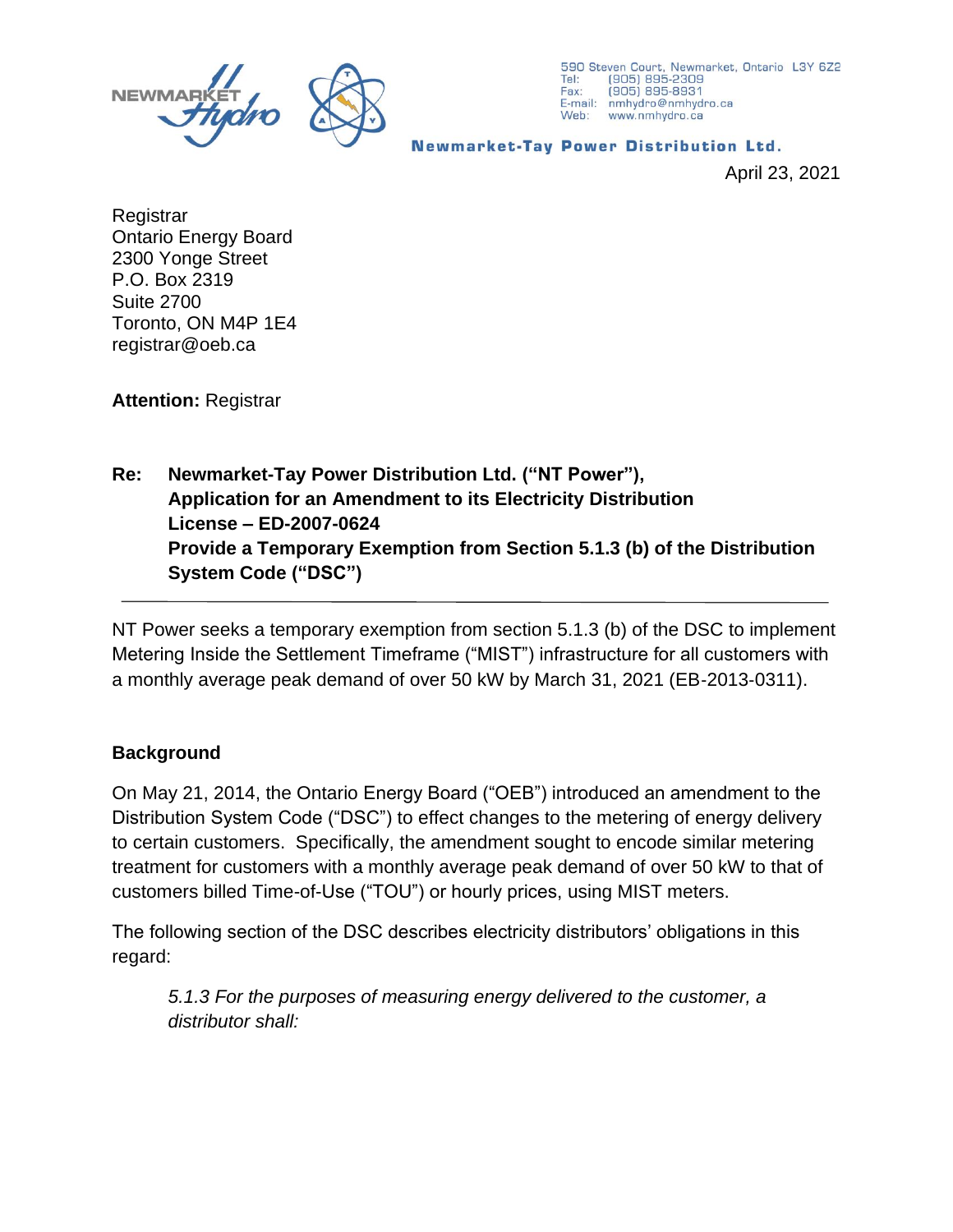

590 Steven Court, Newmarket, Ontario L3Y 6Z2 Tel: (905) 895-2309 (905) 895-8931 Fax: E-mail: nmhydro@nmhydro.ca Web: www.nmhydro.ca

**Newmarket-Tay Power Distribution Ltd.** 

April 23, 2021

**Registrar** Ontario Energy Board 2300 Yonge Street P.O. Box 2319 Suite 2700 Toronto, ON M4P 1E4 registrar@oeb.ca

**Attention:** Registrar

## **Re: Newmarket-Tay Power Distribution Ltd. ("NT Power"), Application for an Amendment to its Electricity Distribution License – ED-2007-0624 Provide a Temporary Exemption from Section 5.1.3 (b) of the Distribution System Code ("DSC")**

NT Power seeks a temporary exemption from section 5.1.3 (b) of the DSC to implement Metering Inside the Settlement Timeframe ("MIST") infrastructure for all customers with a monthly average peak demand of over 50 kW by March 31, 2021 (EB‐2013‐0311).

## **Background**

On May 21, 2014, the Ontario Energy Board ("OEB") introduced an amendment to the Distribution System Code ("DSC") to effect changes to the metering of energy delivery to certain customers. Specifically, the amendment sought to encode similar metering treatment for customers with a monthly average peak demand of over 50 kW to that of customers billed Time-of-Use ("TOU") or hourly prices, using MIST meters.

The following section of the DSC describes electricity distributors' obligations in this regard:

*5.1.3 For the purposes of measuring energy delivered to the customer, a distributor shall:*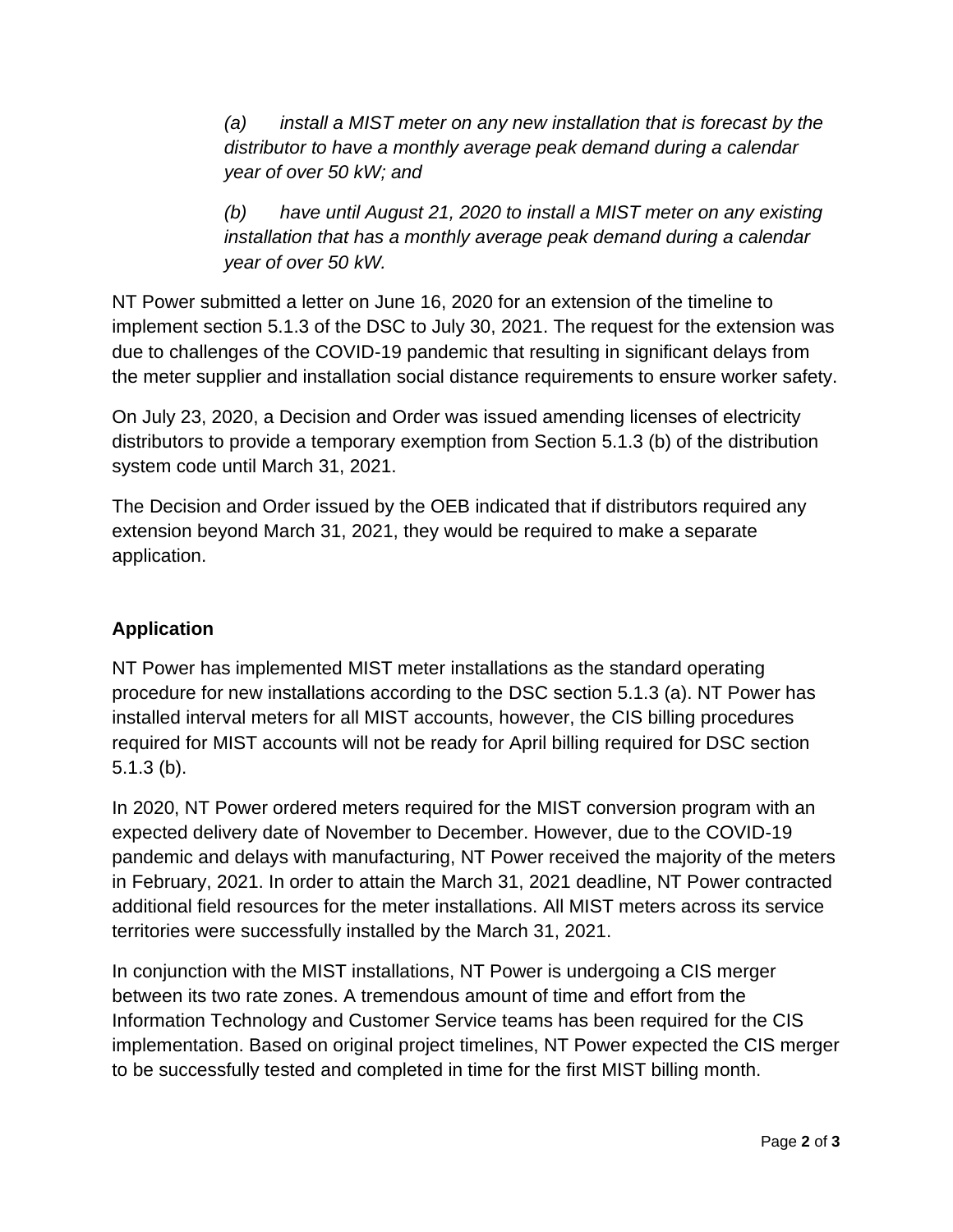*(a) install a MIST meter on any new installation that is forecast by the distributor to have a monthly average peak demand during a calendar year of over 50 kW; and*

*(b) have until August 21, 2020 to install a MIST meter on any existing installation that has a monthly average peak demand during a calendar year of over 50 kW.*

NT Power submitted a letter on June 16, 2020 for an extension of the timeline to implement section 5.1.3 of the DSC to July 30, 2021. The request for the extension was due to challenges of the COVID-19 pandemic that resulting in significant delays from the meter supplier and installation social distance requirements to ensure worker safety.

On July 23, 2020, a Decision and Order was issued amending licenses of electricity distributors to provide a temporary exemption from Section 5.1.3 (b) of the distribution system code until March 31, 2021.

The Decision and Order issued by the OEB indicated that if distributors required any extension beyond March 31, 2021, they would be required to make a separate application.

## **Application**

NT Power has implemented MIST meter installations as the standard operating procedure for new installations according to the DSC section 5.1.3 (a). NT Power has installed interval meters for all MIST accounts, however, the CIS billing procedures required for MIST accounts will not be ready for April billing required for DSC section 5.1.3 (b).

In 2020, NT Power ordered meters required for the MIST conversion program with an expected delivery date of November to December. However, due to the COVID-19 pandemic and delays with manufacturing, NT Power received the majority of the meters in February, 2021. In order to attain the March 31, 2021 deadline, NT Power contracted additional field resources for the meter installations. All MIST meters across its service territories were successfully installed by the March 31, 2021.

In conjunction with the MIST installations, NT Power is undergoing a CIS merger between its two rate zones. A tremendous amount of time and effort from the Information Technology and Customer Service teams has been required for the CIS implementation. Based on original project timelines, NT Power expected the CIS merger to be successfully tested and completed in time for the first MIST billing month.